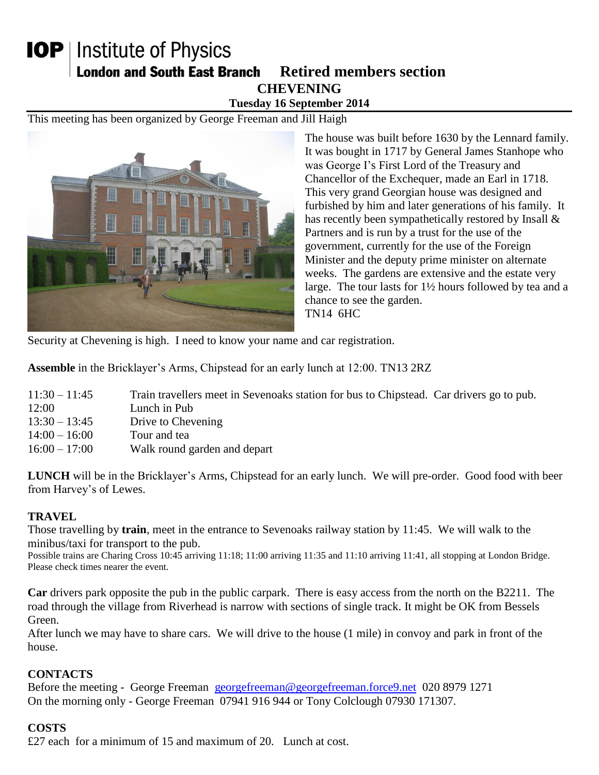## **IOP** | Institute of Physics **London and South East Branch Retired members section CHEVENING Tuesday 16 September 2014**

This meeting has been organized by George Freeman and Jill Haigh



The house was built before 1630 by the Lennard family. It was bought in 1717 by General James Stanhope who was George I's First Lord of the Treasury and Chancellor of the Exchequer, made an Earl in 1718. This very grand Georgian house was designed and furbished by him and later generations of his family. It has recently been sympathetically restored by Insall & Partners and is run by a trust for the use of the government, currently for the use of the Foreign Minister and the deputy prime minister on alternate weeks. The gardens are extensive and the estate very large. The tour lasts for 1½ hours followed by tea and a chance to see the garden. TN14 6HC

Security at Chevening is high. I need to know your name and car registration.

**Assemble** in the Bricklayer's Arms, Chipstead for an early lunch at 12:00. TN13 2RZ

| $11:30 - 11:45$ | Train travellers meet in Sevenoaks station for bus to Chipstead. Car drivers go to pub. |  |  |
|-----------------|-----------------------------------------------------------------------------------------|--|--|
|-----------------|-----------------------------------------------------------------------------------------|--|--|

- 12:00 Lunch in Pub
- 13:30 13:45 Drive to Chevening
- 14:00 16:00 Tour and tea
- 16:00 17:00 Walk round garden and depart

**LUNCH** will be in the Bricklayer's Arms, Chipstead for an early lunch. We will pre-order. Good food with beer from Harvey's of Lewes.

## **TRAVEL**

Those travelling by **train**, meet in the entrance to Sevenoaks railway station by 11:45. We will walk to the minibus/taxi for transport to the pub.

Possible trains are Charing Cross 10:45 arriving 11:18; 11:00 arriving 11:35 and 11:10 arriving 11:41, all stopping at London Bridge. Please check times nearer the event.

**Car** drivers park opposite the pub in the public carpark. There is easy access from the north on the B2211. The road through the village from Riverhead is narrow with sections of single track. It might be OK from Bessels Green.

After lunch we may have to share cars. We will drive to the house (1 mile) in convoy and park in front of the house.

## **CONTACTS**

Before the meeting - George Freeman [georgefreeman@georgefreeman.force9.net](mailto:georgefreeman@georgefreeman.force9.net) 020 8979 1271 On the morning only - George Freeman 07941 916 944 or Tony Colclough 07930 171307.

## **COSTS**

£27 each for a minimum of 15 and maximum of 20. Lunch at cost.